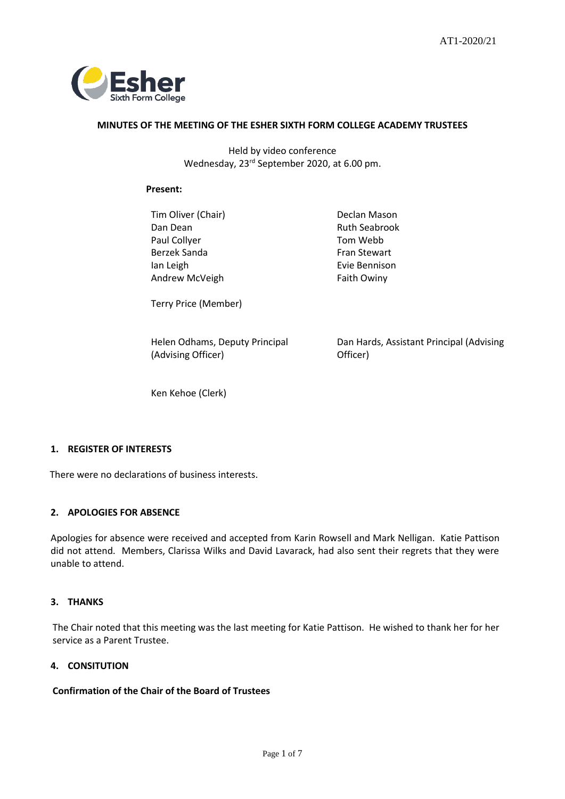

#### **MINUTES OF THE MEETING OF THE ESHER SIXTH FORM COLLEGE ACADEMY TRUSTEES**

Held by video conference Wednesday, 23 rd September 2020, at 6.00 pm.

#### **Present:**

Tim Oliver (Chair) **Declan Mason** Dan Dean **Ruth Seabrook** Paul Collyer **Tom Webb** Berzek Sanda Fran Stewart Ian Leigh Andrew McVeigh

Evie Bennison Faith Owiny

Terry Price (Member)

Helen Odhams, Deputy Principal (Advising Officer)

Dan Hards, Assistant Principal (Advising Officer)

Ken Kehoe (Clerk)

## **1. REGISTER OF INTERESTS**

There were no declarations of business interests.

#### **2. APOLOGIES FOR ABSENCE**

Apologies for absence were received and accepted from Karin Rowsell and Mark Nelligan. Katie Pattison did not attend. Members, Clarissa Wilks and David Lavarack, had also sent their regrets that they were unable to attend.

#### **3. THANKS**

The Chair noted that this meeting was the last meeting for Katie Pattison. He wished to thank her for her service as a Parent Trustee.

#### **4. CONSITUTION**

## **Confirmation of the Chair of the Board of Trustees**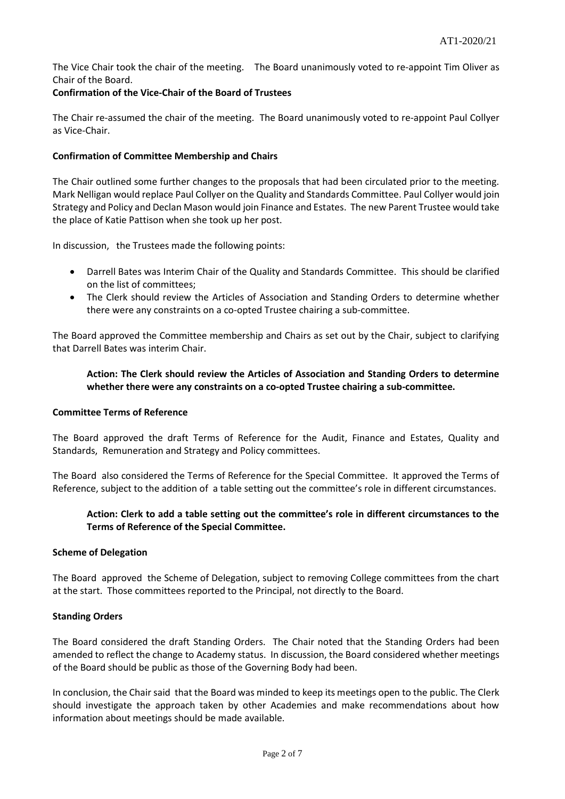The Vice Chair took the chair of the meeting. The Board unanimously voted to re-appoint Tim Oliver as Chair of the Board.

## **Confirmation of the Vice-Chair of the Board of Trustees**

The Chair re-assumed the chair of the meeting. The Board unanimously voted to re-appoint Paul Collyer as Vice-Chair.

## **Confirmation of Committee Membership and Chairs**

The Chair outlined some further changes to the proposals that had been circulated prior to the meeting. Mark Nelligan would replace Paul Collyer on the Quality and Standards Committee. Paul Collyer would join Strategy and Policy and Declan Mason would join Finance and Estates. The new Parent Trustee would take the place of Katie Pattison when she took up her post.

In discussion, the Trustees made the following points:

- Darrell Bates was Interim Chair of the Quality and Standards Committee. This should be clarified on the list of committees;
- The Clerk should review the Articles of Association and Standing Orders to determine whether there were any constraints on a co-opted Trustee chairing a sub-committee.

The Board approved the Committee membership and Chairs as set out by the Chair, subject to clarifying that Darrell Bates was interim Chair.

## **Action: The Clerk should review the Articles of Association and Standing Orders to determine whether there were any constraints on a co-opted Trustee chairing a sub-committee.**

#### **Committee Terms of Reference**

The Board approved the draft Terms of Reference for the Audit, Finance and Estates, Quality and Standards, Remuneration and Strategy and Policy committees.

The Board also considered the Terms of Reference for the Special Committee. It approved the Terms of Reference, subject to the addition of a table setting out the committee's role in different circumstances.

## **Action: Clerk to add a table setting out the committee's role in different circumstances to the Terms of Reference of the Special Committee.**

#### **Scheme of Delegation**

The Board approved the Scheme of Delegation, subject to removing College committees from the chart at the start. Those committees reported to the Principal, not directly to the Board.

#### **Standing Orders**

The Board considered the draft Standing Orders. The Chair noted that the Standing Orders had been amended to reflect the change to Academy status. In discussion, the Board considered whether meetings of the Board should be public as those of the Governing Body had been.

In conclusion, the Chair said that the Board was minded to keep its meetings open to the public. The Clerk should investigate the approach taken by other Academies and make recommendations about how information about meetings should be made available.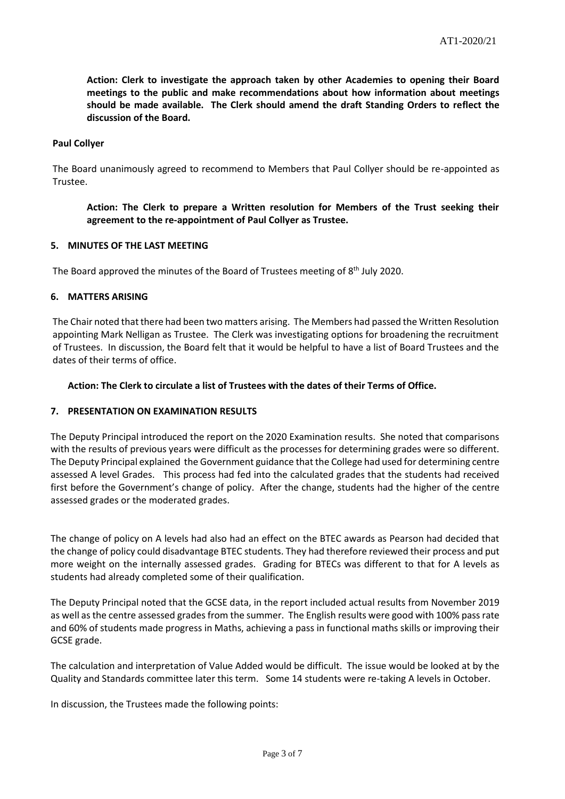**Action: Clerk to investigate the approach taken by other Academies to opening their Board meetings to the public and make recommendations about how information about meetings should be made available. The Clerk should amend the draft Standing Orders to reflect the discussion of the Board.**

#### **Paul Collyer**

The Board unanimously agreed to recommend to Members that Paul Collyer should be re-appointed as Trustee.

## **Action: The Clerk to prepare a Written resolution for Members of the Trust seeking their agreement to the re-appointment of Paul Collyer as Trustee.**

#### **5. MINUTES OF THE LAST MEETING**

The Board approved the minutes of the Board of Trustees meeting of 8<sup>th</sup> July 2020.

#### **6. MATTERS ARISING**

The Chair noted that there had been two matters arising. The Members had passed the Written Resolution appointing Mark Nelligan as Trustee. The Clerk was investigating options for broadening the recruitment of Trustees. In discussion, the Board felt that it would be helpful to have a list of Board Trustees and the dates of their terms of office.

#### **Action: The Clerk to circulate a list of Trustees with the dates of their Terms of Office.**

## **7. PRESENTATION ON EXAMINATION RESULTS**

The Deputy Principal introduced the report on the 2020 Examination results. She noted that comparisons with the results of previous years were difficult as the processes for determining grades were so different. The Deputy Principal explained the Government guidance that the College had used for determining centre assessed A level Grades. This process had fed into the calculated grades that the students had received first before the Government's change of policy. After the change, students had the higher of the centre assessed grades or the moderated grades.

The change of policy on A levels had also had an effect on the BTEC awards as Pearson had decided that the change of policy could disadvantage BTEC students. They had therefore reviewed their process and put more weight on the internally assessed grades. Grading for BTECs was different to that for A levels as students had already completed some of their qualification.

The Deputy Principal noted that the GCSE data, in the report included actual results from November 2019 as well as the centre assessed grades from the summer. The English results were good with 100% pass rate and 60% of students made progress in Maths, achieving a pass in functional maths skills or improving their GCSE grade.

The calculation and interpretation of Value Added would be difficult. The issue would be looked at by the Quality and Standards committee later this term. Some 14 students were re-taking A levels in October.

In discussion, the Trustees made the following points: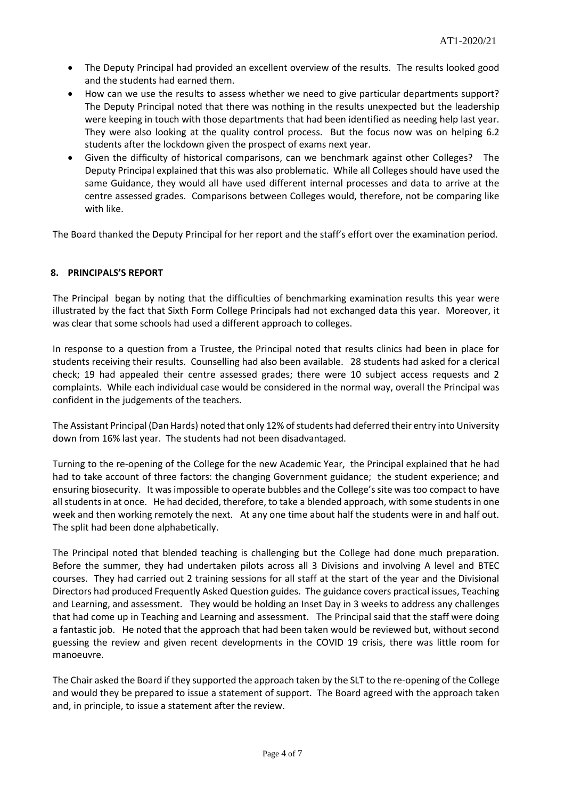- The Deputy Principal had provided an excellent overview of the results. The results looked good and the students had earned them.
- How can we use the results to assess whether we need to give particular departments support? The Deputy Principal noted that there was nothing in the results unexpected but the leadership were keeping in touch with those departments that had been identified as needing help last year. They were also looking at the quality control process. But the focus now was on helping 6.2 students after the lockdown given the prospect of exams next year.
- Given the difficulty of historical comparisons, can we benchmark against other Colleges? The Deputy Principal explained that this was also problematic. While all Colleges should have used the same Guidance, they would all have used different internal processes and data to arrive at the centre assessed grades. Comparisons between Colleges would, therefore, not be comparing like with like.

The Board thanked the Deputy Principal for her report and the staff's effort over the examination period.

## **8. PRINCIPALS'S REPORT**

The Principal began by noting that the difficulties of benchmarking examination results this year were illustrated by the fact that Sixth Form College Principals had not exchanged data this year. Moreover, it was clear that some schools had used a different approach to colleges.

In response to a question from a Trustee, the Principal noted that results clinics had been in place for students receiving their results. Counselling had also been available. 28 students had asked for a clerical check; 19 had appealed their centre assessed grades; there were 10 subject access requests and 2 complaints. While each individual case would be considered in the normal way, overall the Principal was confident in the judgements of the teachers.

The Assistant Principal (Dan Hards) noted that only 12% of students had deferred their entry into University down from 16% last year. The students had not been disadvantaged.

Turning to the re-opening of the College for the new Academic Year, the Principal explained that he had had to take account of three factors: the changing Government guidance; the student experience; and ensuring biosecurity. It was impossible to operate bubbles and the College's site was too compact to have all students in at once. He had decided, therefore, to take a blended approach, with some students in one week and then working remotely the next. At any one time about half the students were in and half out. The split had been done alphabetically.

The Principal noted that blended teaching is challenging but the College had done much preparation. Before the summer, they had undertaken pilots across all 3 Divisions and involving A level and BTEC courses. They had carried out 2 training sessions for all staff at the start of the year and the Divisional Directors had produced Frequently Asked Question guides. The guidance covers practical issues, Teaching and Learning, and assessment. They would be holding an Inset Day in 3 weeks to address any challenges that had come up in Teaching and Learning and assessment. The Principal said that the staff were doing a fantastic job. He noted that the approach that had been taken would be reviewed but, without second guessing the review and given recent developments in the COVID 19 crisis, there was little room for manoeuvre.

The Chair asked the Board if they supported the approach taken by the SLT to the re-opening of the College and would they be prepared to issue a statement of support. The Board agreed with the approach taken and, in principle, to issue a statement after the review.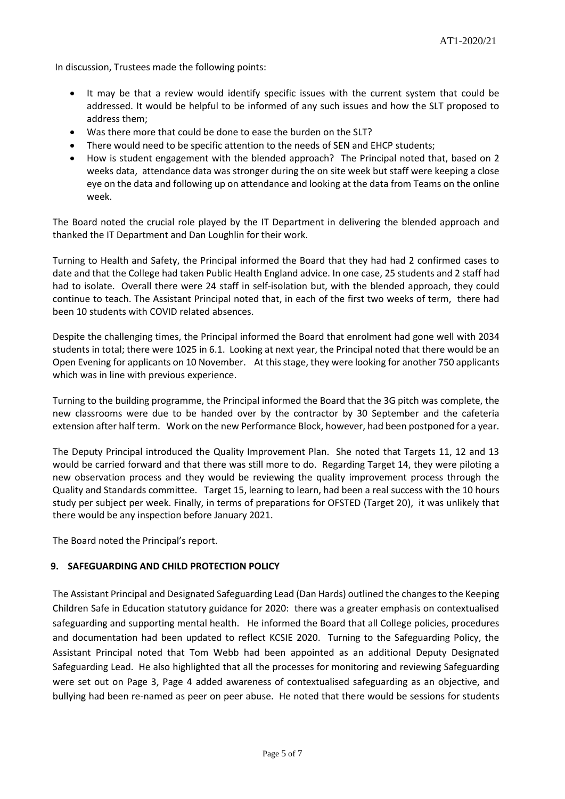In discussion, Trustees made the following points:

- It may be that a review would identify specific issues with the current system that could be addressed. It would be helpful to be informed of any such issues and how the SLT proposed to address them;
- Was there more that could be done to ease the burden on the SLT?
- There would need to be specific attention to the needs of SEN and EHCP students;
- How is student engagement with the blended approach? The Principal noted that, based on 2 weeks data, attendance data was stronger during the on site week but staff were keeping a close eye on the data and following up on attendance and looking at the data from Teams on the online week.

The Board noted the crucial role played by the IT Department in delivering the blended approach and thanked the IT Department and Dan Loughlin for their work.

Turning to Health and Safety, the Principal informed the Board that they had had 2 confirmed cases to date and that the College had taken Public Health England advice. In one case, 25 students and 2 staff had had to isolate. Overall there were 24 staff in self-isolation but, with the blended approach, they could continue to teach. The Assistant Principal noted that, in each of the first two weeks of term, there had been 10 students with COVID related absences.

Despite the challenging times, the Principal informed the Board that enrolment had gone well with 2034 students in total; there were 1025 in 6.1. Looking at next year, the Principal noted that there would be an Open Evening for applicants on 10 November. At this stage, they were looking for another 750 applicants which was in line with previous experience.

Turning to the building programme, the Principal informed the Board that the 3G pitch was complete, the new classrooms were due to be handed over by the contractor by 30 September and the cafeteria extension after half term. Work on the new Performance Block, however, had been postponed for a year.

The Deputy Principal introduced the Quality Improvement Plan. She noted that Targets 11, 12 and 13 would be carried forward and that there was still more to do. Regarding Target 14, they were piloting a new observation process and they would be reviewing the quality improvement process through the Quality and Standards committee. Target 15, learning to learn, had been a real success with the 10 hours study per subject per week. Finally, in terms of preparations for OFSTED (Target 20), it was unlikely that there would be any inspection before January 2021.

The Board noted the Principal's report.

#### **9. SAFEGUARDING AND CHILD PROTECTION POLICY**

The Assistant Principal and Designated Safeguarding Lead (Dan Hards) outlined the changes to the Keeping Children Safe in Education statutory guidance for 2020: there was a greater emphasis on contextualised safeguarding and supporting mental health. He informed the Board that all College policies, procedures and documentation had been updated to reflect KCSIE 2020. Turning to the Safeguarding Policy, the Assistant Principal noted that Tom Webb had been appointed as an additional Deputy Designated Safeguarding Lead. He also highlighted that all the processes for monitoring and reviewing Safeguarding were set out on Page 3, Page 4 added awareness of contextualised safeguarding as an objective, and bullying had been re-named as peer on peer abuse. He noted that there would be sessions for students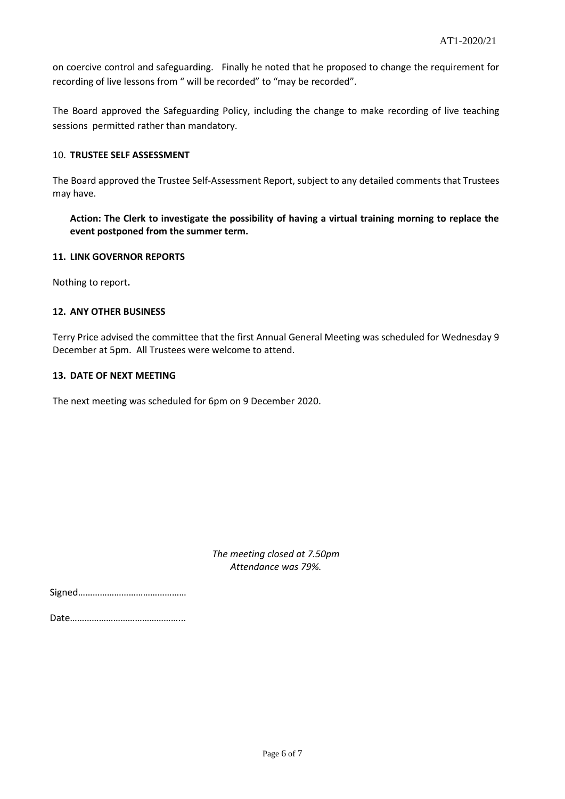on coercive control and safeguarding. Finally he noted that he proposed to change the requirement for recording of live lessons from " will be recorded" to "may be recorded".

The Board approved the Safeguarding Policy, including the change to make recording of live teaching sessions permitted rather than mandatory.

## 10. **TRUSTEE SELF ASSESSMENT**

The Board approved the Trustee Self-Assessment Report, subject to any detailed comments that Trustees may have.

**Action: The Clerk to investigate the possibility of having a virtual training morning to replace the event postponed from the summer term.**

#### **11. LINK GOVERNOR REPORTS**

Nothing to report**.**

#### **12. ANY OTHER BUSINESS**

Terry Price advised the committee that the first Annual General Meeting was scheduled for Wednesday 9 December at 5pm. All Trustees were welcome to attend.

#### **13. DATE OF NEXT MEETING**

The next meeting was scheduled for 6pm on 9 December 2020.

*The meeting closed at 7.50pm Attendance was 79%.*

Date………………………………………...